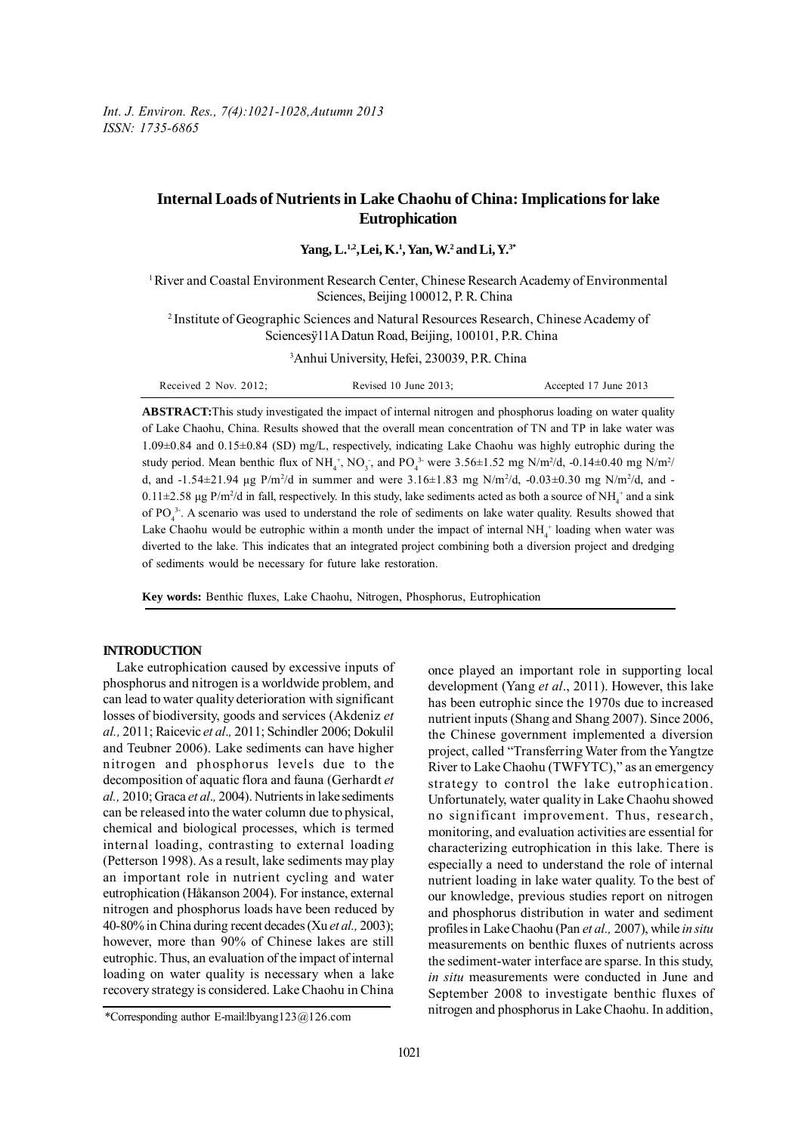*Int. J. Environ. Res., 7(4):1021-1028,Autumn 2013 ISSN: 1735-6865*

# **Internal Loads of Nutrients in Lake Chaohu of China: Implications for lake Eutrophication**

**Yang, L.1,2,Lei, K.1 , Yan, W.2 and Li, Y.3\***

1 River and Coastal Environment Research Center, Chinese Research Academy of Environmental Sciences, Beijing 100012, P. R. China

2 Institute of Geographic Sciences and Natural Resources Research, Chinese Academy of Sciencesÿ11A Datun Road, Beijing, 100101, P.R. China

3 Anhui University, Hefei, 230039, P.R. China

| Received $2$ Nov. $2012$ : | Revised 10 June $2013$ : | Accepted 17 June 2013 |
|----------------------------|--------------------------|-----------------------|
|----------------------------|--------------------------|-----------------------|

**ABSTRACT:**This study investigated the impact of internal nitrogen and phosphorus loading on water quality of Lake Chaohu, China. Results showed that the overall mean concentration of TN and TP in lake water was 1.09±0.84 and 0.15±0.84 (SD) mg/L, respectively, indicating Lake Chaohu was highly eutrophic during the study period. Mean benthic flux of  $NH_4^+$ ,  $NO_3^-$ , and  $PO_4^{3}$  were 3.56 $\pm$ 1.52 mg N/m<sup>2</sup>/d, -0.14 $\pm$ 0.40 mg N/m<sup>2</sup>/ d, and  $-1.54\pm21.94$  µg P/m<sup>2</sup>/d in summer and were  $3.16\pm1.83$  mg N/m<sup>2</sup>/d,  $-0.03\pm0.30$  mg N/m<sup>2</sup>/d, and  $0.11\pm2.58$  µg P/m<sup>2</sup>/d in fall, respectively. In this study, lake sediments acted as both a source of NH<sub>4</sub><sup>+</sup> and a sink of  $PO_4^3$ . A scenario was used to understand the role of sediments on lake water quality. Results showed that Lake Chaohu would be eutrophic within a month under the impact of internal  $NH<sub>4</sub>$ <sup>+</sup> loading when water was diverted to the lake. This indicates that an integrated project combining both a diversion project and dredging of sediments would be necessary for future lake restoration.

**Key words:** Benthic fluxes, Lake Chaohu, Nitrogen, Phosphorus, Eutrophication

### **INTRODUCTION**

Lake eutrophication caused by excessive inputs of phosphorus and nitrogen is a worldwide problem, and can lead to water quality deterioration with significant losses of biodiversity, goods and services (Akdeniz *et al.,* 2011; Raicevic *et al*.*,* 2011; Schindler 2006; Dokulil and Teubner 2006). Lake sediments can have higher nitrogen and phosphorus levels due to the decomposition of aquatic flora and fauna (Gerhardt *et al.,* 2010; Graca *et al*.*,* 2004). Nutrients in lake sediments can be released into the water column due to physical, chemical and biological processes, which is termed internal loading, contrasting to external loading (Petterson 1998). As a result, lake sediments may play an important role in nutrient cycling and water eutrophication (Håkanson 2004). For instance, external nitrogen and phosphorus loads have been reduced by 40-80% in China during recent decades (Xu *et al.,* 2003); however, more than 90% of Chinese lakes are still eutrophic. Thus, an evaluation of the impact of internal loading on water quality is necessary when a lake recovery strategy is considered. Lake Chaohu in China

once played an important role in supporting local development (Yang *et al*., 2011). However, this lake has been eutrophic since the 1970s due to increased nutrient inputs (Shang and Shang 2007). Since 2006, the Chinese government implemented a diversion project, called "Transferring Water from the Yangtze River to Lake Chaohu (TWFYTC)," as an emergency strategy to control the lake eutrophication. Unfortunately, water quality in Lake Chaohu showed no significant improvement. Thus, research, monitoring, and evaluation activities are essential for characterizing eutrophication in this lake. There is especially a need to understand the role of internal nutrient loading in lake water quality. To the best of our knowledge, previous studies report on nitrogen and phosphorus distribution in water and sediment profiles in Lake Chaohu (Pan *et al.,* 2007), while *in situ* measurements on benthic fluxes of nutrients across the sediment-water interface are sparse. In this study, *in situ* measurements were conducted in June and September 2008 to investigate benthic fluxes of nitrogen and phosphorus in Lake Chaohu. In addition,

<sup>\*</sup>Corresponding author E-mail:lbyang123@126.com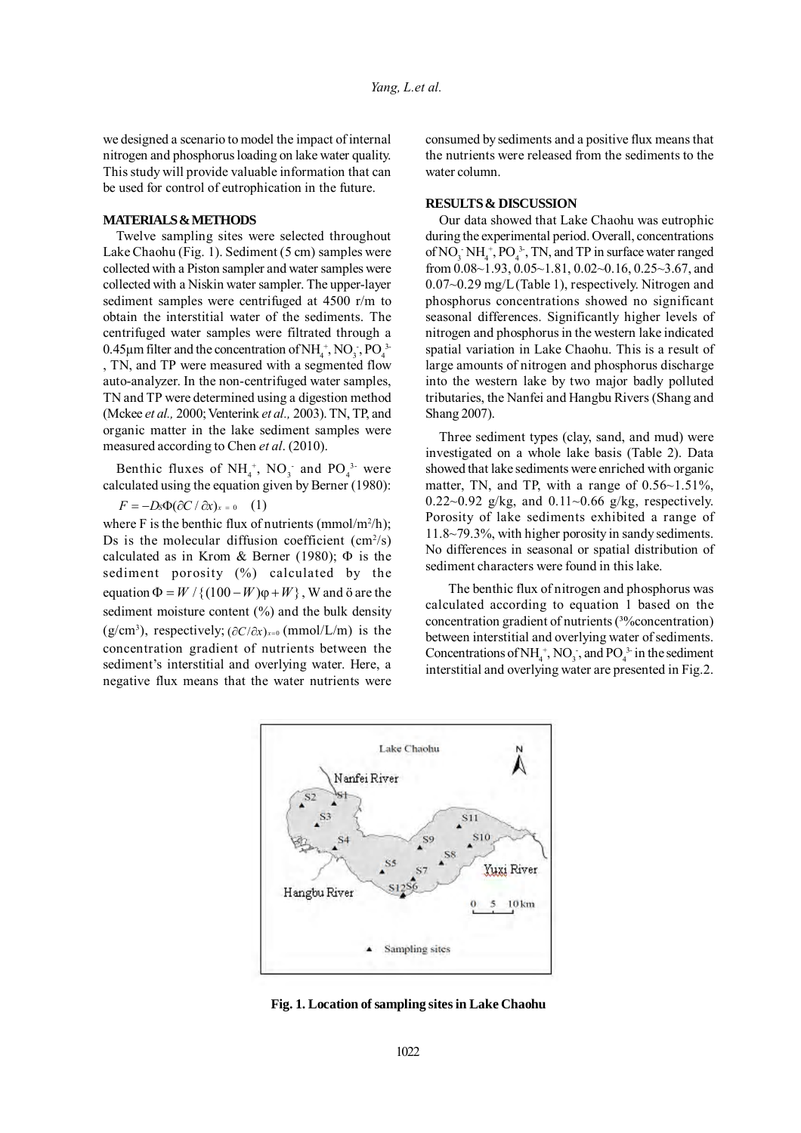we designed a scenario to model the impact of internal nitrogen and phosphorus loading on lake water quality. This study will provide valuable information that can be used for control of eutrophication in the future.

### **MATERIALS & METHODS**

Twelve sampling sites were selected throughout Lake Chaohu (Fig. 1). Sediment (5 cm) samples were collected with a Piston sampler and water samples were collected with a Niskin water sampler. The upper-layer sediment samples were centrifuged at 4500 r/m to obtain the interstitial water of the sediments. The centrifuged water samples were filtrated through a 0.45 $\mu$ m filter and the concentration of NH<sub>4</sub><sup>+</sup>, NO<sub>3</sub>, PO<sub>4</sub><sup>3</sup> , TN, and TP were measured with a segmented flow auto-analyzer. In the non-centrifuged water samples, TN and TP were determined using a digestion method (Mckee *et al.,* 2000; Venterink *et al.,* 2003). TN, TP, and organic matter in the lake sediment samples were measured according to Chen *et al*. (2010).

Benthic fluxes of  $NH_4^+$ , NO<sub>3</sub> and PO<sub>4</sub><sup>3</sup> were calculated using the equation given by Berner (1980):

 $F = -D_s \Phi(\partial C / \partial x)_{x=0}$  (1)

where F is the benthic flux of nutrients (mmol/m<sup>2</sup>/h); Ds is the molecular diffusion coefficient  $\text{(cm}^2\text{/s)}$ calculated as in Krom & Berner (1980);  $\Phi$  is the sediment porosity (%) calculated by the equation  $\Phi = W / \{(100 - W)\varphi + W\}$ , W and ö are the sediment moisture content (%) and the bulk density (g/cm<sup>3</sup>), respectively;  $(\partial C/\partial x)_{x=0}$  (mmol/L/m) is the concentration gradient of nutrients between the sediment's interstitial and overlying water. Here, a negative flux means that the water nutrients were

consumed by sediments and a positive flux means that the nutrients were released from the sediments to the water column.

## **RESULTS & DISCUSSION**

Our data showed that Lake Chaohu was eutrophic during the experimental period. Overall, concentrations of NO<sub>3</sub> NH<sub>4</sub><sup>+</sup>, PO<sub>4</sub><sup>3</sup>-, TN, and TP in surface water ranged from  $0.08~1.93$ ,  $0.05~1.81$ ,  $0.02~0.16$ ,  $0.25~3.67$ , and 0.07~0.29 mg/L(Table 1), respectively. Nitrogen and phosphorus concentrations showed no significant seasonal differences. Significantly higher levels of nitrogen and phosphorus in the western lake indicated spatial variation in Lake Chaohu. This is a result of large amounts of nitrogen and phosphorus discharge into the western lake by two major badly polluted tributaries, the Nanfei and Hangbu Rivers (Shang and Shang 2007).

Three sediment types (clay, sand, and mud) were investigated on a whole lake basis (Table 2). Data showed that lake sediments were enriched with organic matter, TN, and TP, with a range of  $0.56 \sim 1.51\%$ ,  $0.22{\sim}0.92$  g/kg, and  $0.11{\sim}0.66$  g/kg, respectively. Porosity of lake sediments exhibited a range of 11.8~79.3%, with higher porosity in sandy sediments. No differences in seasonal or spatial distribution of sediment characters were found in this lake.

The benthic flux of nitrogen and phosphorus was calculated according to equation 1 based on the concentration gradient of nutrients (<sup>30</sup>/concentration) between interstitial and overlying water of sediments. Concentrations of NH<sub>4</sub><sup>+</sup>, NO<sub>3</sub>, and PO<sub>4</sub><sup>3</sup> in the sediment interstitial and overlying water are presented in Fig.2.



**Fig. 1. Location of sampling sites in Lake Chaohu**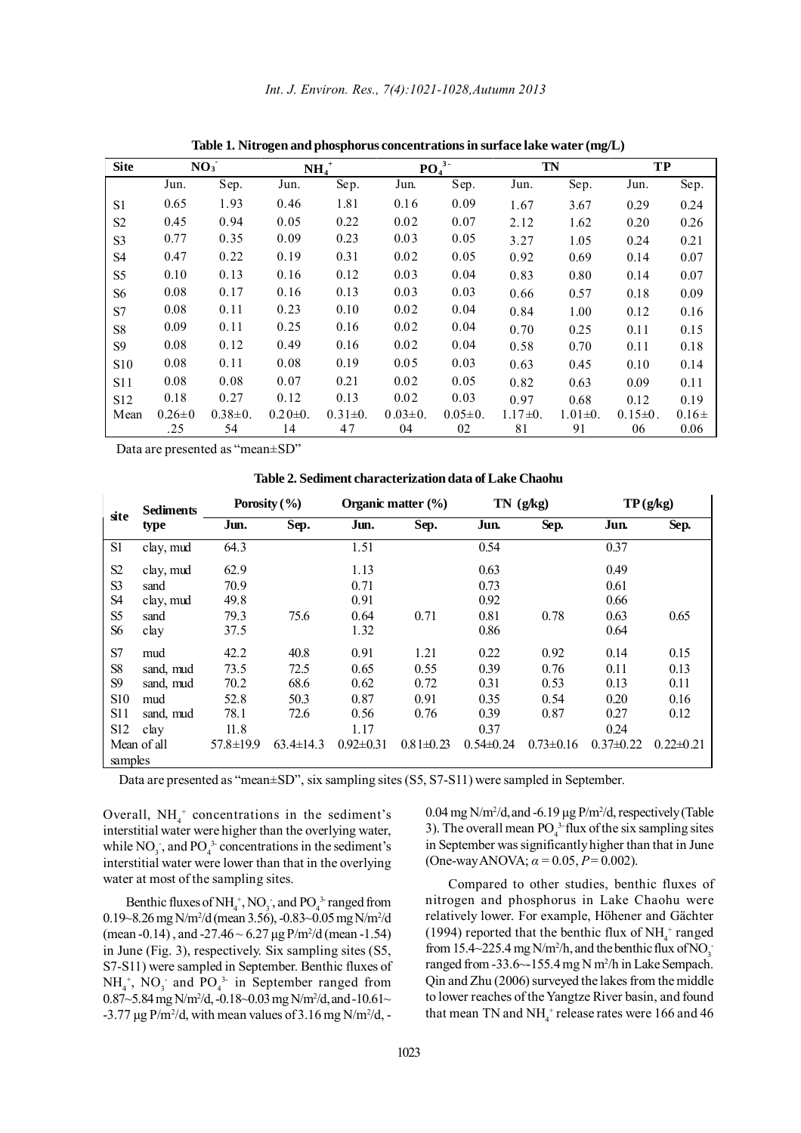| <b>Site</b>     | NO <sub>3</sub> |               |               | $NH4+$        |               | PO <sub>4</sub> <sup>3</sup> |               | TN<br><b>TP</b> |               |           |
|-----------------|-----------------|---------------|---------------|---------------|---------------|------------------------------|---------------|-----------------|---------------|-----------|
|                 | Jun.            | Sep.          | Jun.          | Sep.          | Jun.          | Sep.                         | Jun.          | Sep.            | Jun.          | Sep.      |
| S1              | 0.65            | 1.93          | 0.46          | 1.81          | 0.16          | 0.09                         | 1.67          | 3.67            | 0.29          | 0.24      |
| S <sub>2</sub>  | 0.45            | 0.94          | 0.05          | 0.22          | 0.02          | 0.07                         | 2.12          | 1.62            | 0.20          | 0.26      |
| S <sub>3</sub>  | 0.77            | 0.35          | 0.09          | 0.23          | 0.03          | 0.05                         | 3.27          | 1.05            | 0.24          | 0.21      |
| S <sub>4</sub>  | 0.47            | 0.22          | 0.19          | 0.31          | 0.02          | 0.05                         | 0.92          | 0.69            | 0.14          | 0.07      |
| S <sub>5</sub>  | 0.10            | 0.13          | 0.16          | 0.12          | 0.03          | 0.04                         | 0.83          | 0.80            | 0.14          | 0.07      |
| S6              | 0.08            | 0.17          | 0.16          | 0.13          | 0.03          | 0.03                         | 0.66          | 0.57            | 0.18          | 0.09      |
| S7              | 0.08            | 0.11          | 0.23          | 0.10          | 0.02          | 0.04                         | 0.84          | 1.00            | 0.12          | 0.16      |
| S <sub>8</sub>  | 0.09            | 0.11          | 0.25          | 0.16          | 0.02          | 0.04                         | 0.70          | 0.25            | 0.11          | 0.15      |
| S9              | 0.08            | 0.12          | 0.49          | 0.16          | 0.02          | 0.04                         | 0.58          | 0.70            | 0.11          | 0.18      |
| S <sub>10</sub> | 0.08            | 0.11          | 0.08          | 0.19          | 0.05          | 0.03                         | 0.63          | 0.45            | 0.10          | 0.14      |
| S11             | 0.08            | 0.08          | 0.07          | 0.21          | 0.02          | 0.05                         | 0.82          | 0.63            | 0.09          | 0.11      |
| S12             | 0.18            | 0.27          | 0.12          | 0.13          | 0.02          | 0.03                         | 0.97          | 0.68            | 0.12          | 0.19      |
| Mean            | $0.26 \pm 0$    | $0.38 \pm 0.$ | $0.20 \pm 0.$ | $0.31 \pm 0.$ | $0.03 \pm 0.$ | $0.05 \pm 0.$                | $1.17 \pm 0.$ | $1.01 \pm 0.$   | $0.15 \pm 0.$ | $0.16\pm$ |
|                 | .25             | 54            | 14            | 47            | 04            | 02                           | 81            | 91              | 06            | 0.06      |

**Table 1. Nitrogen and phosphorus concentrations in surface lake water (mg/L)**

Data are presented as "mean±SD"

**Table 2. Sediment characterization data of Lake Chaohu**

| site           | <b>Sediments</b><br>type | Porosity $(\% )$ |                 | Organic matter $(\% )$ |                 | $TN$ (g/kg)    |                 | TP(g/kg)      |                 |
|----------------|--------------------------|------------------|-----------------|------------------------|-----------------|----------------|-----------------|---------------|-----------------|
|                |                          | Jun.             | Sep.            | Jun.                   | Sep.            | Jun.           | Sep.            | Jun.          | Sep.            |
| S <sub>1</sub> | clay, mud                | 64.3             |                 | 1.51                   |                 | 0.54           |                 | 0.37          |                 |
| S <sub>2</sub> | clay, mud                | 62.9             |                 | 1.13                   |                 | 0.63           |                 | 0.49          |                 |
| S <sub>3</sub> | sand                     | 70.9             |                 | 0.71                   |                 | 0.73           |                 | 0.61          |                 |
| S <sub>4</sub> | clay, mud                | 49.8             |                 | 0.91                   |                 | 0.92           |                 | 0.66          |                 |
| S <sub>5</sub> | sand                     | 79.3             | 75.6            | 0.64                   | 0.71            | 0.81           | 0.78            | 0.63          | 0.65            |
| S6             | clay                     | 37.5             |                 | 1.32                   |                 | 0.86           |                 | 0.64          |                 |
| S7             | mud                      | 42.2             | 40.8            | 0.91                   | 1.21            | 0.22           | 0.92            | 0.14          | 0.15            |
| S <sub>8</sub> | sand, mud                | 73.5             | 72.5            | 0.65                   | 0.55            | 0.39           | 0.76            | 0.11          | 0.13            |
| S <sub>9</sub> | sand, mud                | 70.2             | 68.6            | 0.62                   | 0.72            | 0.31           | 0.53            | 0.13          | 0.11            |
| <b>S10</b>     | mud                      | 52.8             | 50.3            | 0.87                   | 0.91            | 0.35           | 0.54            | 0.20          | 0.16            |
| S11            | sand, mud                | 78.1             | 72.6            | 0.56                   | 0.76            | 0.39           | 0.87            | 0.27          | 0.12            |
| S12            | clay                     | 11.8             |                 | 1.17                   |                 | 0.37           |                 | 0.24          |                 |
|                | Mean of all              | $57.8 \pm 19.9$  | $63.4 \pm 14.3$ | $0.92 \pm 0.31$        | $0.81 \pm 0.23$ | $0.54\pm 0.24$ | $0.73 \pm 0.16$ | $0.37\pm0.22$ | $0.22 \pm 0.21$ |
| samples        |                          |                  |                 |                        |                 |                |                 |               |                 |

Data are presented as "mean±SD", six sampling sites (S5, S7-S11) were sampled in September.

Overall,  $NH_4^+$  concentrations in the sediment's interstitial water were higher than the overlying water, while  $NO_3$ , and  $PO_4^3$  concentrations in the sediment's interstitial water were lower than that in the overlying water at most of the sampling sites.

Benthic fluxes of  $NH_4^+$ , NO<sub>3</sub>, and PO<sub>4</sub><sup>3</sup> ranged from 0.19~8.26 mg N/m<sup>2</sup>/d (mean 3.56), -0.83~0.05 mg N/m<sup>2</sup>/d (mean -0.14), and -27.46  $\sim$  6.27 µg P/m<sup>2</sup>/d (mean -1.54) in June (Fig. 3), respectively. Six sampling sites (S5, S7-S11) were sampled in September. Benthic fluxes of  $NH<sub>4</sub>$ <sup>+</sup>, NO<sub>3</sub> and PO<sub>4</sub><sup>3</sup> in September ranged from 0.87~5.84 mg N/m<sup>2</sup>/d, -0.18~0.03 mg N/m<sup>2</sup>/d, and -10.61~  $-3.77 \mu$ g P/m<sup>2</sup>/d, with mean values of 3.16 mg N/m<sup>2</sup>/d,  $-$ 

 $0.04$  mg N/m<sup>2</sup>/d, and -6.19 µg P/m<sup>2</sup>/d, respectively (Table 3). The overall mean  $PO_4^3$ -flux of the six sampling sites in September was significantly higher than that in June (One-way ANOVA; *α =* 0.05, *P* = 0.002).

Compared to other studies, benthic fluxes of nitrogen and phosphorus in Lake Chaohu were relatively lower. For example, Höhener and Gächter (1994) reported that the benthic flux of  $NH<sub>4</sub><sup>+</sup>$  ranged from 15.4~225.4 mg  $N/m^2/h$ , and the benthic flux of  $NO_3^$ ranged from -33.6 ~ - 155.4 mg N m<sup>2</sup>/h in Lake Sempach. Qin and Zhu (2006) surveyed the lakes from the middle to lower reaches of the Yangtze River basin, and found that mean TN and  $NH_4^+$  release rates were 166 and 46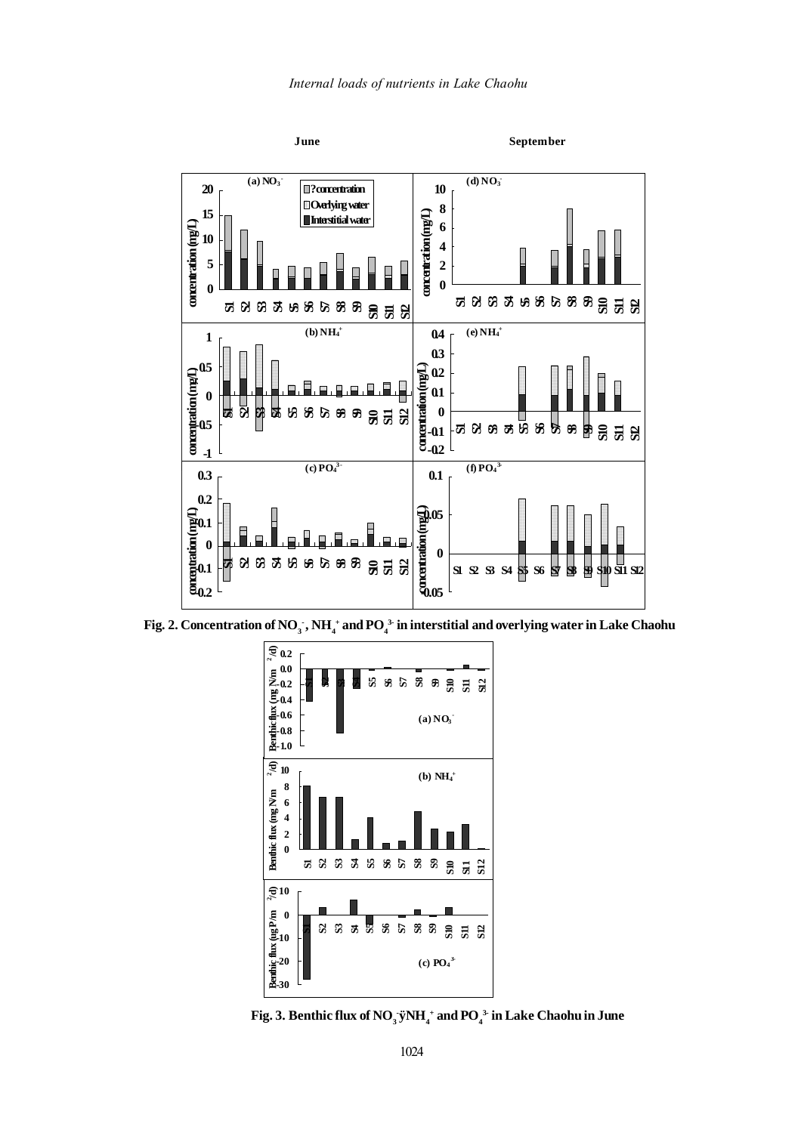

Fig. 2. Concentration of NO<sub>3</sub><sup>-</sup>, NH<sub>4</sub><sup>+</sup> and PO<sub>4</sub><sup>3</sup> in interstitial and overlying water in Lake Chaohu



 $\text{Fig. 3.}$  Benthic flux of NO<sub>3</sub>.ÿNH<sub>4</sub><sup>+</sup> and PO<sub>4</sub><sup>3</sup> in Lake Chaohu in June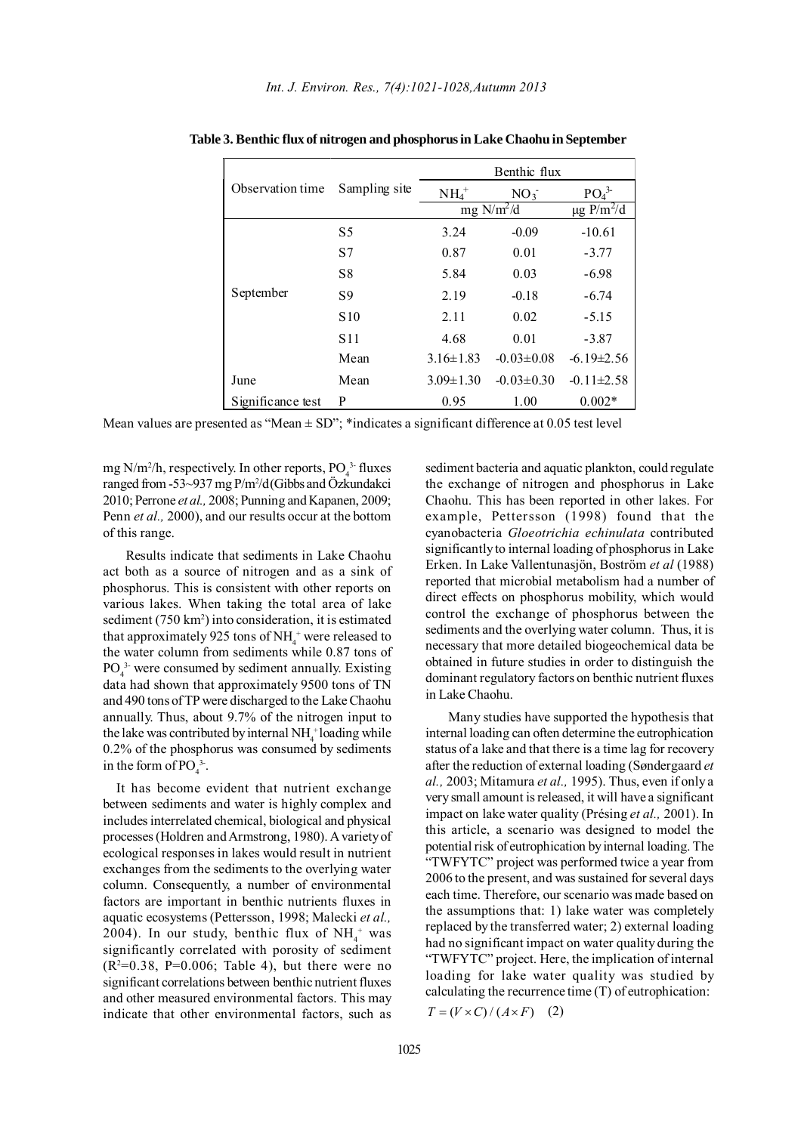|                   |                 | Benthic flux       |                  |                              |  |  |
|-------------------|-----------------|--------------------|------------------|------------------------------|--|--|
| Observation time  | Sampling site   | $NH4+$             | $NO_3$           | PO <sub>4</sub> <sup>3</sup> |  |  |
|                   |                 | $mg \frac{N}{m^2}$ |                  | $\mu$ g P/m <sup>2</sup> /d  |  |  |
|                   | S <sub>5</sub>  | 3.24               | $-0.09$          | $-10.61$                     |  |  |
|                   | S7              | 0.87               | 0.01             | $-3.77$                      |  |  |
| September         | S <sub>8</sub>  | 5.84               | 0.03             | $-6.98$                      |  |  |
|                   | S9              | 2.19               | $-0.18$          | $-6.74$                      |  |  |
|                   | S <sub>10</sub> | 2.11               | 0.02             | $-5.15$                      |  |  |
|                   | S <sub>11</sub> | 4.68               | 0.01             | $-3.87$                      |  |  |
|                   | Mean            | $3.16 \pm 1.83$    | $-0.03 \pm 0.08$ | $-6.19\pm2.56$               |  |  |
| June              | Mean            | $3.09 \pm 1.30$    | $-0.03 \pm 0.30$ | $-0.11 \pm 2.58$             |  |  |
| Significance test | P               | 0.95               | 1.00             | $0.002*$                     |  |  |

**Table 3. Benthic flux of nitrogen and phosphorus in Lake Chaohu in September**

Mean values are presented as "Mean  $\pm$  SD"; \*indicates a significant difference at 0.05 test level

mg  $N/m^2/h$ , respectively. In other reports,  $PO_4^{3}$  fluxes ranged from -53~937 mg P/m<sup>2</sup>/d(Gibbs and Özkundakci 2010; Perrone *et al.,* 2008; Punning and Kapanen, 2009; Penn *et al.,* 2000), and our results occur at the bottom of this range.

Results indicate that sediments in Lake Chaohu act both as a source of nitrogen and as a sink of phosphorus. This is consistent with other reports on various lakes. When taking the total area of lake sediment (750 km<sup>2</sup>) into consideration, it is estimated that approximately 925 tons of  $NH_4^+$  were released to the water column from sediments while 0.87 tons of  $PO<sub>4</sub><sup>3</sup>$  were consumed by sediment annually. Existing data had shown that approximately 9500 tons of TN and 490 tons of TP were discharged to the Lake Chaohu annually. Thus, about 9.7% of the nitrogen input to the lake was contributed by internal  $NH<sub>4</sub>$  loading while 0.2% of the phosphorus was consumed by sediments in the form of  $PO_4^3$ .

It has become evident that nutrient exchange between sediments and water is highly complex and includes interrelated chemical, biological and physical processes (Holdren and Armstrong, 1980). A variety of ecological responses in lakes would result in nutrient exchanges from the sediments to the overlying water column. Consequently, a number of environmental factors are important in benthic nutrients fluxes in aquatic ecosystems (Pettersson, 1998; Malecki *et al.,* 2004). In our study, benthic flux of  $NH_4^+$  was significantly correlated with porosity of sediment  $(R<sup>2</sup>=0.38, P=0.006;$  Table 4), but there were no significant correlations between benthic nutrient fluxes and other measured environmental factors. This may indicate that other environmental factors, such as

sediment bacteria and aquatic plankton, could regulate the exchange of nitrogen and phosphorus in Lake Chaohu. This has been reported in other lakes. For example, Pettersson (1998) found that the cyanobacteria *Gloeotrichia echinulata* contributed significantly to internal loading of phosphorus in Lake Erken. In Lake Vallentunasjön, Boström *et al* (1988) reported that microbial metabolism had a number of direct effects on phosphorus mobility, which would control the exchange of phosphorus between the sediments and the overlying water column. Thus, it is necessary that more detailed biogeochemical data be obtained in future studies in order to distinguish the dominant regulatory factors on benthic nutrient fluxes in Lake Chaohu.

Many studies have supported the hypothesis that internal loading can often determine the eutrophication status of a lake and that there is a time lag for recovery after the reduction of external loading (Søndergaard *et al.,* 2003; Mitamura *et al.,* 1995). Thus, even if only a very small amount is released, it will have a significant impact on lake water quality (Présing *et al.,* 2001). In this article, a scenario was designed to model the potential risk of eutrophication by internal loading. The "TWFYTC" project was performed twice a year from 2006 to the present, and was sustained for several days each time. Therefore, our scenario was made based on the assumptions that: 1) lake water was completely replaced by the transferred water; 2) external loading had no significant impact on water quality during the "TWFYTC" project. Here, the implication of internal loading for lake water quality was studied by calculating the recurrence time (T) of eutrophication:

 $T = (V \times C) / (A \times F)$  (2)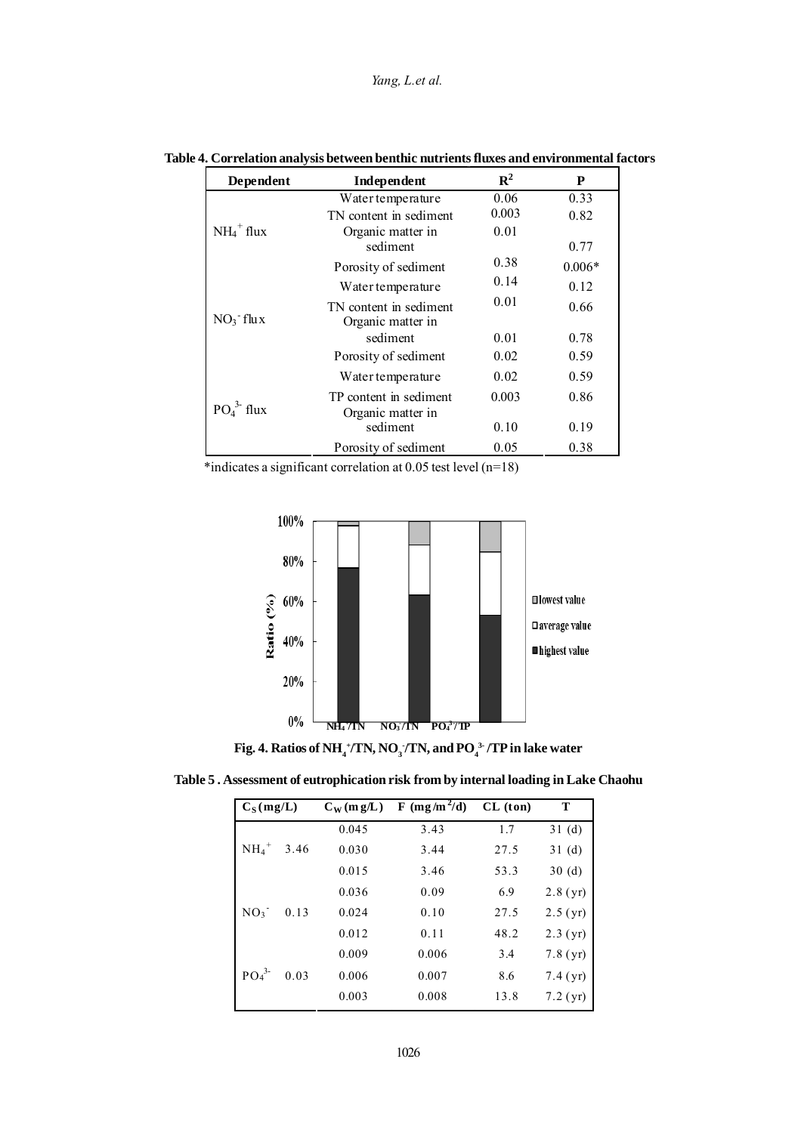| Dependent                | Independent                                 | $\mathbb{R}^2$ | P        |
|--------------------------|---------------------------------------------|----------------|----------|
|                          | Water temperature                           | 0.06           | 0.33     |
| $NH_4$ <sup>+</sup> flux | TN content in sediment                      | 0.003          | 0.82     |
|                          | Organic matter in<br>sediment               | 0.01           | 0.77     |
|                          | Porosity of sediment                        | 0.38           | $0.006*$ |
| $NO_3$ flux              | Water temperature                           | 0.14           | 0.12     |
|                          | TN content in sediment<br>Organic matter in | 0.01           | 0.66     |
|                          | sediment                                    | 0.01           | 0.78     |
|                          | Porosity of sediment                        | 0.02           | 0.59     |
| $PO43$ -flux             | Water temperature                           | 0.02           | 0.59     |
|                          | TP content in sediment<br>Organic matter in | 0.003          | 0.86     |
|                          | sediment                                    | 0.10           | 0.19     |
|                          | Porosity of sediment                        | 0.05           | 0.38     |

## **Table 4. Correlation analysis between benthic nutrients fluxes and environmental factors**

\*indicates a significant correlation at 0.05 test level (n=18)



**Fig. 4. Ratios of NH**  $_4^{\text{+}}$ /TN, NO  $_3^{\text{-}}$ /TN, and PO  $_4^{\text{3-}}$ /TP in lake water

**Table 5 . Assessment of eutrophication risk from by internal loading in Lake Chaohu**

| $C_S(mg/L)$                  |      | $C_{W}$ (m g/L) | F (mg/m <sup>2</sup> /d) | CL (ton) | T          |
|------------------------------|------|-----------------|--------------------------|----------|------------|
|                              |      | 0.045           | 3.43                     | 1.7      | 31(d)      |
| $NH_4$ <sup>+</sup>          | 3.46 | 0.030           | 3.44                     | 27.5     | 31(d)      |
|                              |      | 0.015           | 3.46                     | 53.3     | 30(d)      |
|                              |      | 0.036           | 0.09                     | 6.9      | 2.8(yr)    |
| NO <sub>3</sub>              | 0.13 | 0.024           | 0.10                     | 27.5     | 2.5(yr)    |
|                              |      | 0.012           | 0.11                     | 48.2     | $2.3$ (yr) |
|                              |      | 0.009           | 0.006                    | 3.4      | 7.8(yr)    |
| PO <sub>4</sub> <sup>3</sup> | 0.03 | 0.006           | 0.007                    | 8.6      | 7.4(yr)    |
|                              |      | 0.003           | 0.008                    | 13.8     | $7.2$ (yr) |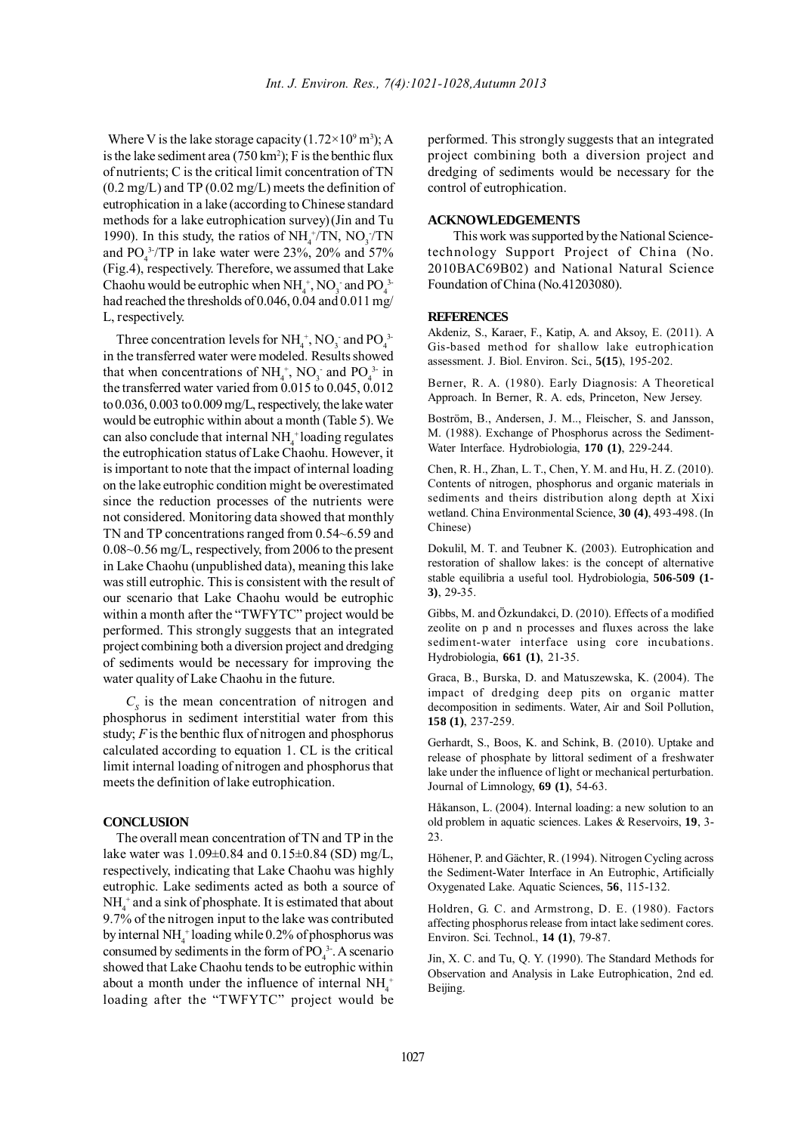Where V is the lake storage capacity  $(1.72 \times 10^9 \text{ m}^3)$ ; A is the lake sediment area  $(750 \text{ km}^2)$ ; F is the benthic flux of nutrients; C is the critical limit concentration of TN  $(0.2 \text{ mg/L})$  and TP  $(0.02 \text{ mg/L})$  meets the definition of eutrophication in a lake (according to Chinese standard methods for a lake eutrophication survey)(Jin and Tu 1990). In this study, the ratios of  $NH_4^+/\text{TN}$ ,  $NO_3^-/\text{TN}$ and  $PO_4^3$ /TP in lake water were 23%, 20% and 57% (Fig.4), respectively. Therefore, we assumed that Lake Chaohu would be eutrophic when  $NH_4^+$ , NO<sub>3</sub> and PO<sub>4</sub><sup>3</sup> had reached the thresholds of 0.046, 0.04 and 0.011 mg/ L, respectively.

Three concentration levels for  $NH_4^+$ , NO<sub>3</sub> and PO<sub>4</sub><sup>3</sup> in the transferred water were modeled. Results showed that when concentrations of  $NH_4^+$ , NO<sub>3</sub> and PO<sub>4</sub><sup>3</sup> in the transferred water varied from 0.015 to 0.045, 0.012 to 0.036, 0.003 to 0.009 mg/L, respectively, the lake water would be eutrophic within about a month (Table 5). We can also conclude that internal  $NH_4^+$ loading regulates the eutrophication status of Lake Chaohu. However, it is important to note that the impact of internal loading on the lake eutrophic condition might be overestimated since the reduction processes of the nutrients were not considered. Monitoring data showed that monthly TN and TP concentrations ranged from 0.54~6.59 and 0.08~0.56 mg/L, respectively, from 2006 to the present in Lake Chaohu (unpublished data), meaning this lake was still eutrophic. This is consistent with the result of our scenario that Lake Chaohu would be eutrophic within a month after the "TWFYTC" project would be performed. This strongly suggests that an integrated project combining both a diversion project and dredging of sediments would be necessary for improving the water quality of Lake Chaohu in the future.

 $C<sub>s</sub>$  is the mean concentration of nitrogen and phosphorus in sediment interstitial water from this study; *F* is the benthic flux of nitrogen and phosphorus calculated according to equation 1. CL is the critical limit internal loading of nitrogen and phosphorus that meets the definition of lake eutrophication.

### **CONCLUSION**

The overall mean concentration of TN and TP in the lake water was 1.09±0.84 and 0.15±0.84 (SD) mg/L, respectively, indicating that Lake Chaohu was highly eutrophic. Lake sediments acted as both a source of  $NH<sub>4</sub><sup>+</sup>$  and a sink of phosphate. It is estimated that about 9.7% of the nitrogen input to the lake was contributed by internal  $NH_4^+$  loading while 0.2% of phosphorus was consumed by sediments in the form of  $PO_4^3$ . A scenario showed that Lake Chaohu tends to be eutrophic within about a month under the influence of internal  $NH_4^+$ loading after the "TWFYTC" project would be performed. This strongly suggests that an integrated project combining both a diversion project and dredging of sediments would be necessary for the control of eutrophication.

### **ACKNOWLEDGEMENTS**

This work was supported by the National Sciencetechnology Support Project of China (No. 2010BAC69B02) and National Natural Science Foundation of China (No.41203080).

### **REFERENCES**

Akdeniz, S., Karaer, F., Katip, A. and Aksoy, E. (2011). A Gis-based method for shallow lake eutrophication assessment. J. Biol. Environ. Sci., **5(15**), 195-202.

Berner, R. A. (1980). Early Diagnosis: A Theoretical Approach. In Berner, R. A. eds, Princeton, New Jersey.

Boström, B., Andersen, J. M.., Fleischer, S. and Jansson, M. (1988). Exchange of Phosphorus across the Sediment-Water Interface. Hydrobiologia, **170 (1)**, 229-244.

Chen, R. H., Zhan, L. T., Chen, Y. M. and Hu, H. Z. (2010). Contents of nitrogen, phosphorus and organic materials in sediments and theirs distribution along depth at Xixi wetland. China Environmental Science, **30 (4)**, 493-498. (In Chinese)

Dokulil, M. T. and Teubner K. (2003). Eutrophication and restoration of shallow lakes: is the concept of alternative stable equilibria a useful tool. Hydrobiologia, **506-509 (1- 3)**, 29-35.

Gibbs, M. and Özkundakci, D. (2010). Effects of a modified zeolite on p and n processes and fluxes across the lake sediment-water interface using core incubations. Hydrobiologia, **661 (1)**, 21-35.

Graca, B., Burska, D. and Matuszewska, K. (2004). The impact of dredging deep pits on organic matter decomposition in sediments. Water, Air and Soil Pollution, **158 (1)**, 237-259.

Gerhardt, S., Boos, K. and Schink, B. (2010). Uptake and release of phosphate by littoral sediment of a freshwater lake under the influence of light or mechanical perturbation. Journal of Limnology, **69 (1)**, 54-63.

Håkanson, L. (2004). Internal loading: a new solution to an old problem in aquatic sciences. Lakes & Reservoirs, **19**, 3- 23.

Höhener, P. and Gächter, R. (1994). Nitrogen Cycling across the Sediment-Water Interface in An Eutrophic, Artificially Oxygenated Lake. Aquatic Sciences, **56**, 115-132.

Holdren, G. C. and Armstrong, D. E. (1980). Factors affecting phosphorus release from intact lake sediment cores. Environ. Sci. Technol., **14 (1)**, 79-87.

Jin, X. C. and Tu, Q. Y. (1990). The Standard Methods for Observation and Analysis in Lake Eutrophication, 2nd ed. Beijing.